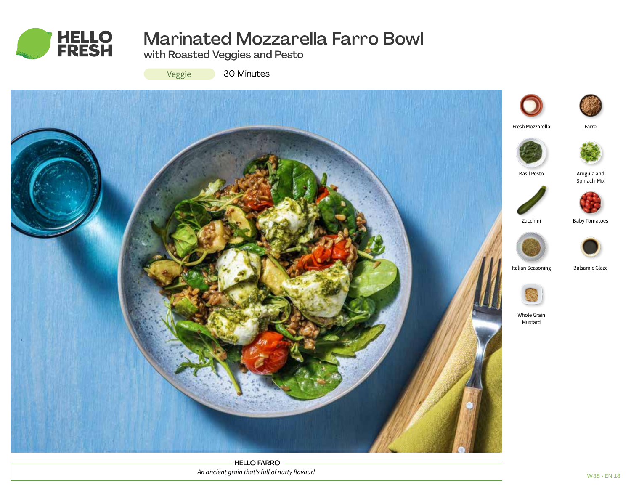

# Marinated Mozzarella Farro Bowl

with Roasted Veggies and Pesto



30 Minutes



HELLO FARRO *An ancient grain that's full of nutty flavour!*